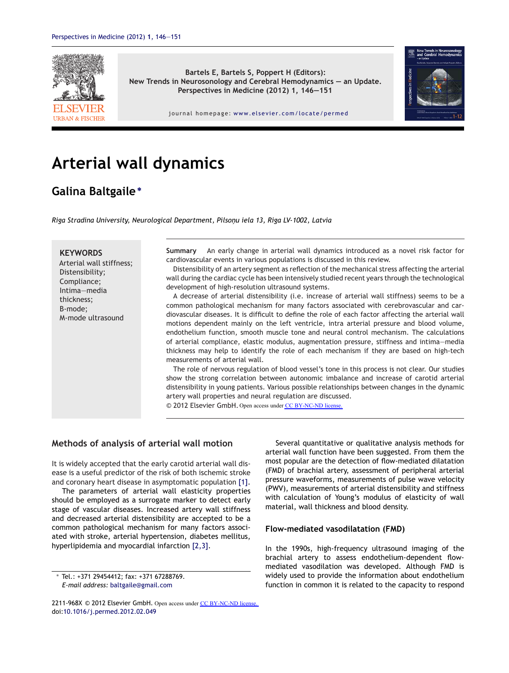

**Bartels E, Bartels S, Poppert H (Editors): New Trends in Neurosonology and Cerebral Hemodynamics — an Update. Perspectives in Medicine (2012) 1, 146—151**



journal homepage: <www.elsevier.com/locate/permed>

# **Arterial wall dynamics**

## **Galina Baltgaile<sup>∗</sup>**

*Riga Stradina University, Neurological Department, Pilson¸u iela 13, Riga LV-1002, Latvia*

#### **KEYWORDS**

Arterial wall stiffness; Distensibility; Compliance; Intima—media thickness; B-mode; M-mode ultrasound

**Summary** An early change in arterial wall dynamics introduced as a novel risk factor for cardiovascular events in various populations is discussed in this review.

Distensibility of an artery segment as reflection of the mechanical stress affecting the arterial wall during the cardiac cycle has been intensively studied recent years through the technological development of high-resolution ultrasound systems.

A decrease of arterial distensibility (i.e. increase of arterial wall stiffness) seems to be a common pathological mechanism for many factors associated with cerebrovascular and cardiovascular diseases. It is difficult to define the role of each factor affecting the arterial wall motions dependent mainly on the left ventricle, intra arterial pressure and blood volume, endothelium function, smooth muscle tone and neural control mechanism. The calculations of arterial compliance, elastic modulus, augmentation pressure, stiffness and intima—media thickness may help to identify the role of each mechanism if they are based on high-tech measurements of arterial wall.

The role of nervous regulation of blood vessel's tone in this process is not clear. Our studies show the strong correlation between autonomic imbalance and increase of carotid arterial distensibility in young patients. Various possible relationships between changes in the dynamic artery wall properties and neural regulation are discussed.

© 2012 Elsevier GmbH. Open access under [CC BY-NC-ND license.](http://creativecommons.org/licenses/by-nc-nd/4.0/)

## **Methods of analysis of arterial wall motion**

It is widely accepted that the early carotid arterial wall disease is a useful predictor of the risk of both ischemic stroke and coronary heart disease in asymptomatic population [\[1\].](#page-4-0)

The parameters of arterial wall elasticity properties should be employed as a surrogate marker to detect early stage of vascular diseases. Increased artery wall stiffness and decreased arterial distensibility are accepted to be a common pathological mechanism for many factors associated with stroke, arterial hypertension, diabetes mellitus, hyperlipidemia and myocardial infarction [\[2,3\].](#page-4-0)

∗ Tel.: +371 29454412; fax: +371 67288769. *E-mail address:* [baltgaile@gmail.com](mailto:baltgaile@gmail.com)

Several quantitative or qualitative analysis methods for arterial wall function have been suggested. From them the most popular are the detection of flow-mediated dilatation (FMD) of brachial artery, assessment of peripheral arterial pressure waveforms, measurements of pulse wave velocity (PWV), measurements of arterial distensibility and stiffness with calculation of Young's modulus of elasticity of wall material, wall thickness and blood density.

#### **Flow-mediated vasodilatation (FMD)**

In the 1990s, high-frequency ultrasound imaging of the brachial artery to assess endothelium-dependent flowmediated vasodilation was developed. Although FMD is widely used to provide the information about endothelium function in common it is related to the capacity to respond

<sup>2211-968</sup>X © 2012 Elsevier GmbH. Open access under [CC BY-NC-ND license.](http://creativecommons.org/licenses/by-nc-nd/4.0/) doi:[10.1016/j.permed.2012.02.049](dx.doi.org/10.1016/j.permed.2012.02.049)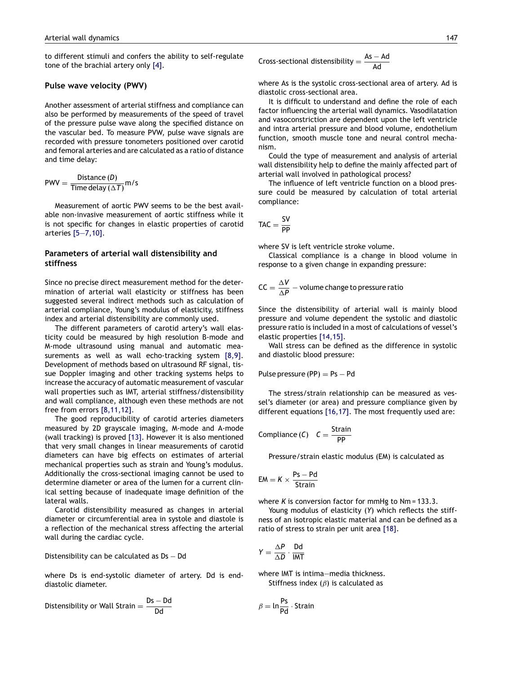to different stimuli and confers the ability to self-regulate tone of the brachial artery only [\[4\].](#page-5-0)

#### **Pulse wave velocity (PWV)**

Another assessment of arterial stiffness and compliance can also be performed by measurements of the speed of travel of the pressure pulse wave along the specified distance on the vascular bed. To measure PVW, pulse wave signals are recorded with pressure tonometers positioned over carotid and femoral arteries and are calculated as a ratio of distance and time delay:

$$
PWV = \frac{Distance(D)}{Time delay(\Delta T)} m/s
$$

Measurement of aortic PWV seems to be the best available non-invasive measurement of aortic stiffness while it is not specific for changes in elastic properties of carotid arteries [\[5—7,10\].](#page-5-0)

## **Parameters of arterial wall distensibility and stiffness**

Since no precise direct measurement method for the determination of arterial wall elasticity or stiffness has been suggested several indirect methods such as calculation of arterial compliance, Young's modulus of elasticity, stiffness index and arterial distensibility are commonly used.

The different parameters of carotid artery's wall elasticity could be measured by high resolution B-mode and M-mode ultrasound using manual and automatic measurements as well as wall echo-tracking system [\[8,9\].](#page-5-0) Development of methods based on ultrasound RF signal, tissue Doppler imaging and other tracking systems helps to increase the accuracy of automatic measurement of vascular wall properties such as IMT, arterial stiffness/distensibility and wall compliance, although even these methods are not free from errors [\[8,11,12\].](#page-5-0)

The good reproducibility of carotid arteries diameters measured by 2D grayscale imaging, M-mode and A-mode (wall tracking) is proved [\[13\].](#page-5-0) However it is also mentioned that very small changes in linear measurements of carotid diameters can have big effects on estimates of arterial mechanical properties such as strain and Young's modulus. Additionally the cross-sectional imaging cannot be used to determine diameter or area of the lumen for a current clinical setting because of inadequate image definition of the lateral walls.

Carotid distensibility measured as changes in arterial diameter or circumferential area in systole and diastole is a reflection of the mechanical stress affecting the arterial wall during the cardiac cycle.

Distensibility can be calculated as Ds − Dd

where Ds is end-systolic diameter of artery. Dd is enddiastolic diameter.

Distensibility or Wall Strain = 
$$
\frac{Ds - Dd}{Dd}
$$

Cross-sectional distensibility = 
$$
\frac{As - Ad}{Ad}
$$

where As is the systolic cross-sectional area of artery. Ad is diastolic cross-sectional area.

It is difficult to understand and define the role of each factor influencing the arterial wall dynamics. Vasodilatation and vasoconstriction are dependent upon the left ventricle and intra arterial pressure and blood volume, endothelium function, smooth muscle tone and neural control mechanism.

Could the type of measurement and analysis of arterial wall distensibility help to define the mainly affected part of arterial wall involved in pathological process?

The influence of left ventricle function on a blood pressure could be measured by calculation of total arterial compliance:

$$
TAC = \frac{SV}{PP}
$$

where SV is left ventricle stroke volume.

Classical compliance is a change in blood volume in response to a given change in expanding pressure:

$$
CC = \frac{\Delta V}{\Delta P} - \text{volume change to pressure ratio}
$$

Since the distensibility of arterial wall is mainly blood pressure and volume dependent the systolic and diastolic pressure ratio is included in a most of calculations of vessel's elastic properties [\[14,15\].](#page-5-0)

Wall stress can be defined as the difference in systolic and diastolic blood pressure:

Pulse pressure (PP) =  $Ps - Pd$ 

The stress/strain relationship can be measured as vessel's diameter (or area) and pressure compliance given by different equations [\[16,17\].](#page-5-0) The most frequently used are:

$$
Compliance (C) \quad C = \frac{Strain}{PP}
$$

Pressure/strain elastic modulus (EM) is calculated as

$$
EM = K \times \frac{Ps - Pd}{Strain}
$$

where *K* is conversion factor for mmHg to Nm = 133.3.

Young modulus of elasticity (*Y*) which reflects the stiffness of an isotropic elastic material and can be defined as a ratio of stress to strain per unit area [\[18\].](#page-5-0)

$$
Y = \frac{\Delta P}{\Delta D} \cdot \frac{Dd}{IMT}
$$

where IMT is intima—media thickness. Stiffness index  $(\beta)$  is calculated as

$$
\beta = \ln \frac{Ps}{Pd} \cdot \text{Strain}
$$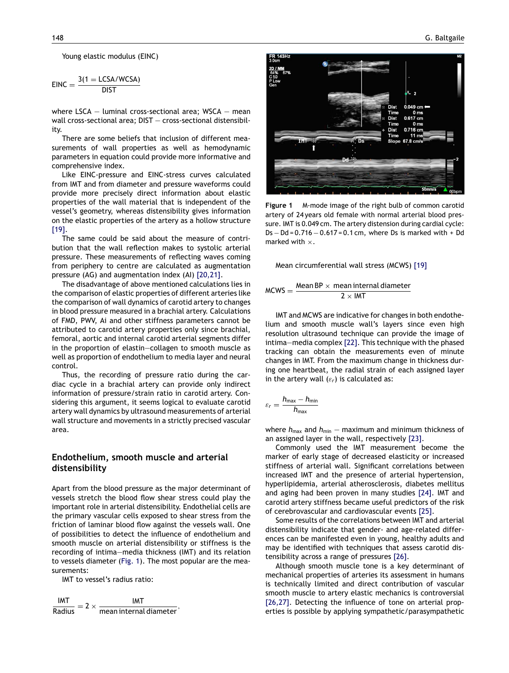<span id="page-2-0"></span>Young elastic modulus (EINC)

$$
EINC = \frac{3(1 = LCSA/WCSA)}{DIST}
$$

where  $LSCA -$  luminal cross-sectional area; WSCA  $-$  mean wall cross-sectional area; DIST — cross-sectional distensibility.

There are some beliefs that inclusion of different measurements of wall properties as well as hemodynamic parameters in equation could provide more informative and comprehensive index.

Like EINC-pressure and EINC-stress curves calculated from IMT and from diameter and pressure waveforms could provide more precisely direct information about elastic properties of the wall material that is independent of the vessel's geometry, whereas distensibility gives information on the elastic properties of the artery as a hollow structure [\[19\].](#page-5-0)

The same could be said about the measure of contribution that the wall reflection makes to systolic arterial pressure. These measurements of reflecting waves coming from periphery to centre are calculated as augmentation pressure (AG) and augmentation index (AI) [\[20,21\].](#page-5-0)

The disadvantage of above mentioned calculations lies in the comparison of elastic properties of different arteries like the comparison of wall dynamics of carotid artery to changes in blood pressure measured in a brachial artery. Calculations of FMD, PWV, Ai and other stiffness parameters cannot be attributed to carotid artery properties only since brachial, femoral, aortic and internal carotid arterial segments differ in the proportion of elastin—collagen to smooth muscle as well as proportion of endothelium to media layer and neural control.

Thus, the recording of pressure ratio during the cardiac cycle in a brachial artery can provide only indirect information of pressure/strain ratio in carotid artery. Considering this argument, it seems logical to evaluate carotid artery wall dynamics by ultrasound measurements of arterial wall structure and movements in a strictly precised vascular area.

## **Endothelium, smooth muscle and arterial distensibility**

Apart from the blood pressure as the major determinant of vessels stretch the blood flow shear stress could play the important role in arterial distensibility. Endothelial cells are the primary vascular cells exposed to shear stress from the friction of laminar blood flow against the vessels wall. One of possibilities to detect the influence of endothelium and smooth muscle on arterial distensibility or stiffness is the recording of intima—media thickness (IMT) and its relation to vessels diameter (Fig. 1). The most popular are the measurements:

IMT to vessel's radius ratio:

 $\frac{IMT}{Radius}$  $\frac{\mathsf{IMT}}{\mathsf{Radius}} = 2 \times \frac{\mathsf{IMT}}{\mathsf{mean internal diameter}},$ 



**Figure 1** M-mode image of the right bulb of common carotid artery of 24 years old female with normal arterial blood pressure. IMT is 0.049 cm. The artery distension during cardial cycle: Ds − Dd = 0.716 − 0.617 = 0.1 cm, where Ds is marked with + Dd marked with  $\times$ .

Mean circumferential wall stress (MCWS) [\[19\]](#page-5-0)

$$
MCWS = \frac{Mean BP \times mean internal diameter}{2 \times lMT}
$$

IMT and MCWS are indicative for changes in both endothelium and smooth muscle wall's layers since even high resolution ultrasound technique can provide the image of intima—media complex [\[22\].](#page-5-0) This technique with the phased tracking can obtain the measurements even of minute changes in IMT. From the maximum change in thickness during one heartbeat, the radial strain of each assigned layer in the artery wall  $(\varepsilon_r)$  is calculated as:

$$
\varepsilon_r = \frac{h_{\max} - h_{\min}}{h_{\max}}
$$

where  $h_{\text{max}}$  and  $h_{\text{min}}$  – maximum and minimum thickness of an assigned layer in the wall, respectively [\[23\].](#page-5-0)

Commonly used the IMT measurement become the marker of early stage of decreased elasticity or increased stiffness of arterial wall. Significant correlations between increased IMT and the presence of arterial hypertension, hyperlipidemia, arterial atherosclerosis, diabetes mellitus and aging had been proven in many studies [\[24\].](#page-5-0) IMT and carotid artery stiffness became useful predictors of the risk of cerebrovascular and cardiovascular events [\[25\].](#page-5-0)

Some results of the correlations between IMT and arterial distensibility indicate that gender- and age-related differences can be manifested even in young, healthy adults and may be identified with techniques that assess carotid distensibility across a range of pressures [\[26\].](#page-5-0)

Although smooth muscle tone is a key determinant of mechanical properties of arteries its assessment in humans is technically limited and direct contribution of vascular smooth muscle to artery elastic mechanics is controversial [\[26,27\].](#page-5-0) Detecting the influence of tone on arterial properties is possible by applying sympathetic/parasympathetic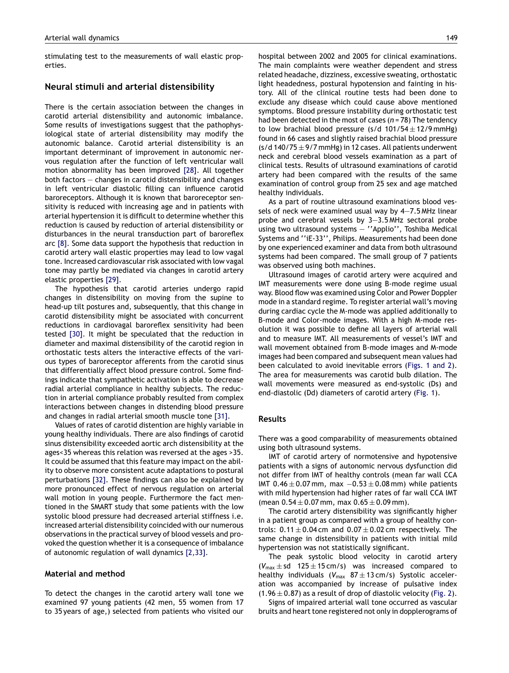stimulating test to the measurements of wall elastic properties.

## **Neural stimuli and arterial distensibility**

There is the certain association between the changes in carotid arterial distensibility and autonomic imbalance. Some results of investigations suggest that the pathophysiological state of arterial distensibility may modify the autonomic balance. Carotid arterial distensibility is an important determinant of improvement in autonomic nervous regulation after the function of left ventricular wall motion abnormality has been improved [\[28\].](#page-5-0) All together both factors — changes in carotid distensibility and changes in left ventricular diastolic filling can influence carotid baroreceptors. Although it is known that baroreceptor sensitivity is reduced with increasing age and in patients with arterial hypertension it is difficult to determine whether this reduction is caused by reduction of arterial distensibility or disturbances in the neural transduction part of baroreflex arc [\[8\].](#page-5-0) Some data support the hypothesis that reduction in carotid artery wall elastic properties may lead to low vagal tone. Increased cardiovascular risk associated with low vagal tone may partly be mediated via changes in carotid artery elastic properties [\[29\].](#page-5-0)

The hypothesis that carotid arteries undergo rapid changes in distensibility on moving from the supine to head-up tilt postures and, subsequently, that this change in carotid distensibility might be associated with concurrent reductions in cardiovagal baroreflex sensitivity had been tested [\[30\].](#page-5-0) It might be speculated that the reduction in diameter and maximal distensibility of the carotid region in orthostatic tests alters the interactive effects of the various types of baroreceptor afferents from the carotid sinus that differentially affect blood pressure control. Some findings indicate that sympathetic activation is able to decrease radial arterial compliance in healthy subjects. The reduction in arterial compliance probably resulted from complex interactions between changes in distending blood pressure and changes in radial arterial smooth muscle tone [\[31\].](#page-5-0)

Values of rates of carotid distention are highly variable in young healthy individuals. There are also findings of carotid sinus distensibility exceeded aortic arch distensibility at the ages<35 whereas this relation was reversed at the ages >35. It could be assumed that this feature may impact on the ability to observe more consistent acute adaptations to postural perturbations [\[32\].](#page-5-0) These findings can also be explained by more pronounced effect of nervous regulation on arterial wall motion in young people. Furthermore the fact mentioned in the SMART study that some patients with the low systolic blood pressure had decreased arterial stiffness i.e. increased arterial distensibility coincided with our numerous observations in the practical survey of blood vessels and provoked the question whether it is a consequence of imbalance of autonomic regulation of wall dynamics [\[2,33\].](#page-4-0)

## **Material and method**

To detect the changes in the carotid artery wall tone we examined 97 young patients (42 men, 55 women from 17 to 35 years of age,) selected from patients who visited our hospital between 2002 and 2005 for clinical examinations. The main complaints were weather dependent and stress related headache, dizziness, excessive sweating, orthostatic light headedness, postural hypotension and fainting in history. All of the clinical routine tests had been done to exclude any disease which could cause above mentioned symptoms. Blood pressure instability during orthostatic test had been detected in the most of cases (*n* = 78) The tendency to low brachial blood pressure (s/d  $101/54 \pm 12/9$  mmHg) found in 66 cases and slightly raised brachial blood pressure  $(s/d 140/75 \pm 9/7$  mmHg) in 12 cases. All patients underwent neck and cerebral blood vessels examination as a part of clinical tests. Results of ultrasound examinations of carotid artery had been compared with the results of the same examination of control group from 25 sex and age matched healthy individuals.

As a part of routine ultrasound examinations blood vessels of neck were examined usual way by 4—7.5 MHz linear probe and cerebral vessels by 3—3.5 MHz sectoral probe using two ultrasound systems — ''Applio'', Toshiba Medical Systems and ''iE-33'', Philips. Measurements had been done by one experienced examiner and data from both ultrasound systems had been compared. The small group of 7 patients was observed using both machines.

Ultrasound images of carotid artery were acquired and IMT measurements were done using B-mode regime usual way. Blood flow was examined using Color and Power Doppler mode in a standard regime. To register arterial wall's moving during cardiac cycle the M-mode was applied additionally to B-mode and Color-mode images. With a high M-mode resolution it was possible to define all layers of arterial wall and to measure IMT. All measurements of vessel's IMT and wall movement obtained from B-mode images and M-mode images had been compared and subsequent mean values had been calculated to avoid inevitable errors ([Figs. 1 and 2\)](#page-2-0). The area for measurements was carotid bulb dilation. The wall movements were measured as end-systolic (Ds) and end-diastolic (Dd) diameters of carotid artery [\(Fig. 1\).](#page-2-0)

#### **Results**

There was a good comparability of measurements obtained using both ultrasound systems.

IMT of carotid artery of normotensive and hypotensive patients with a signs of autonomic nervous dysfunction did not differ from IMT of healthy controls (mean far wall CCA IMT  $0.46 \pm 0.07$  mm, max  $-0.53 \pm 0.08$  mm) while patients with mild hypertension had higher rates of far wall CCA IMT (mean  $0.54 \pm 0.07$  mm, max  $0.65 \pm 0.09$  mm).

The carotid artery distensibility was significantly higher in a patient group as compared with a group of healthy controls:  $0.11 \pm 0.04$  cm and  $0.07 \pm 0.02$  cm respectively. The same change in distensibility in patients with initial mild hypertension was not statistically significant.

The peak systolic blood velocity in carotid artery  $(V_{max} \pm sd$  125  $\pm$  15 cm/s) was increased compared to healthy individuals ( $V_{\text{max}}$  87  $\pm$  13 cm/s) Systolic acceleration was accompanied by increase of pulsative index  $(1.96 \pm 0.87)$  as a result of drop of diastolic velocity [\(Fig. 2\).](#page-4-0)

Signs of impaired arterial wall tone occurred as vascular bruits and heart tone registered not only in dopplerograms of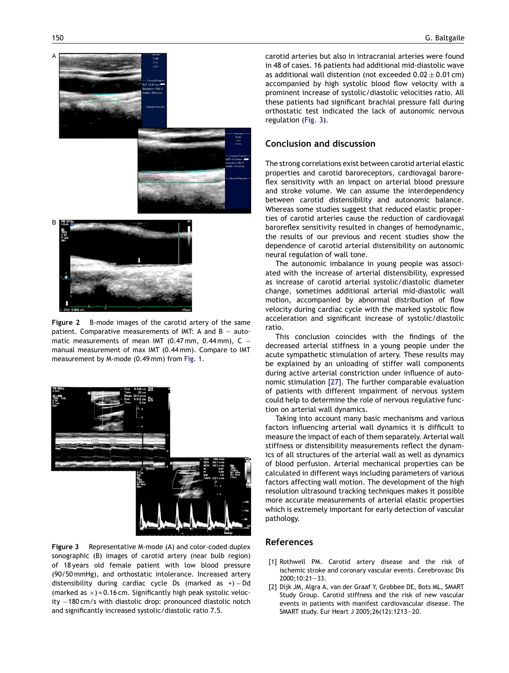<span id="page-4-0"></span>

**Figure 2** B-mode images of the carotid artery of the same patient. Comparative measurements of IMT: A and  $B - auto$ matic measurements of mean IMT (0.47 mm, 0.44 mm),  $C =$ manual measurement of max IMT (0.44 mm). Compare to IMT measurement by M-mode (0.49 mm) from [Fig. 1.](#page-2-0)



**Figure 3** Representative M-mode (A) and color-coded duplex sonographic (B) images of carotid artery (near bulb region) of 18 years old female patient with low blood pressure (90/50 mmHg), and orthostatic intolerance. Increased artery distensibility during cardiac cycle Ds (marked as +)  $-$  Dd (marked as  $\times$ ) = 0.16 cm. Significantly high peak systolic velocity −180 cm/s with diastolic drop: pronounced diastolic notch and significantly increased systolic/diastolic ratio 7.5.

carotid arteries but also in intracranial arteries were found in 48 of cases. 16 patients had additional mid-diastolic wave as additional wall distention (not exceeded  $0.02 \pm 0.01$  cm) accompanied by high systolic blood flow velocity with a prominent increase of systolic/diastolic velocities ratio. All these patients had significant brachial pressure fall during orthostatic test indicated the lack of autonomic nervous regulation (Fig. 3).

## **Conclusion and discussion**

The strong correlations exist between carotid arterial elastic properties and carotid baroreceptors, cardiovagal baroreflex sensitivity with an impact on arterial blood pressure and stroke volume. We can assume the interdependency between carotid distensibility and autonomic balance. Whereas some studies suggest that reduced elastic properties of carotid arteries cause the reduction of cardiovagal baroreflex sensitivity resulted in changes of hemodynamic, the results of our previous and recent studies show the dependence of carotid arterial distensibility on autonomic neural regulation of wall tone.

The autonomic imbalance in young people was associated with the increase of arterial distensibility, expressed as increase of carotid arterial systolic/diastolic diameter change, sometimes additional arterial mid-diastolic wall motion, accompanied by abnormal distribution of flow velocity during cardiac cycle with the marked systolic flow acceleration and significant increase of systolic/diastolic ratio.

This conclusion coincides with the findings of the decreased arterial stiffness in a young people under the acute sympathetic stimulation of artery. These results may be explained by an unloading of stiffer wall components during active arterial constriction under influence of autonomic stimulation [\[27\].](#page-5-0) The further comparable evaluation of patients with different impairment of nervous system could help to determine the role of nervous regulative function on arterial wall dynamics.

Taking into account many basic mechanisms and various factors influencing arterial wall dynamics it is difficult to measure the impact of each of them separately. Arterial wall stiffness or distensibility measurements reflect the dynamics of all structures of the arterial wall as well as dynamics of blood perfusion. Arterial mechanical properties can be calculated in different ways including parameters of various factors affecting wall motion. The development of the high resolution ultrasound tracking techniques makes it possible more accurate measurements of arterial elastic properties which is extremely important for early detection of vascular pathology.

## **References**

- [1] Rothwell PM. Carotid artery disease and the risk of ischemic stroke and coronary vascular events. Cerebrovasc Dis 2000;10:21—33.
- [2] Dijk JM, Algra A, van der Graaf Y, Grobbee DE, Bots ML, SMART Study Group. Carotid stiffness and the risk of new vascular events in patients with manifest cardiovascular disease. The SMART study. Eur Heart J 2005;26(12):1213—20.